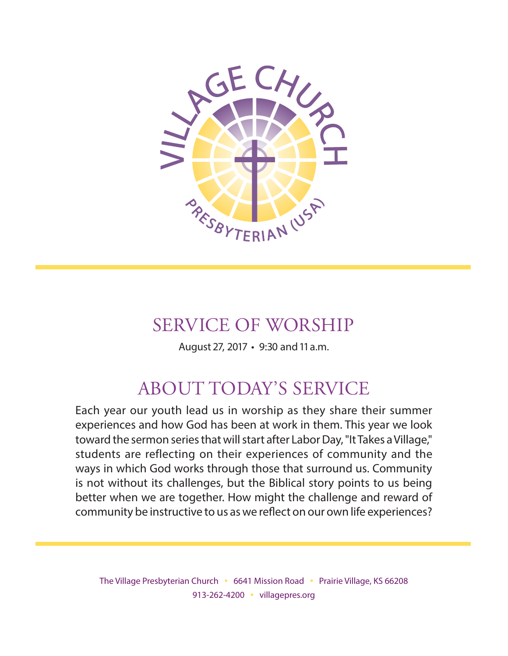

# SERVICE OF WORSHIP

August 27, 2017 • 9:30 and 11 a.m.

# ABOUT TODAY'S SERVICE

Each year our youth lead us in worship as they share their summer experiences and how God has been at work in them. This year we look toward the sermon series that will start after Labor Day, "It Takes a Village," students are reflecting on their experiences of community and the ways in which God works through those that surround us. Community is not without its challenges, but the Biblical story points to us being better when we are together. How might the challenge and reward of community be instructive to us as we refect on our own life experiences?

The Village Presbyterian Church • 6641 Mission Road • Prairie Village, KS 66208 913-262-4200 • villagepres.org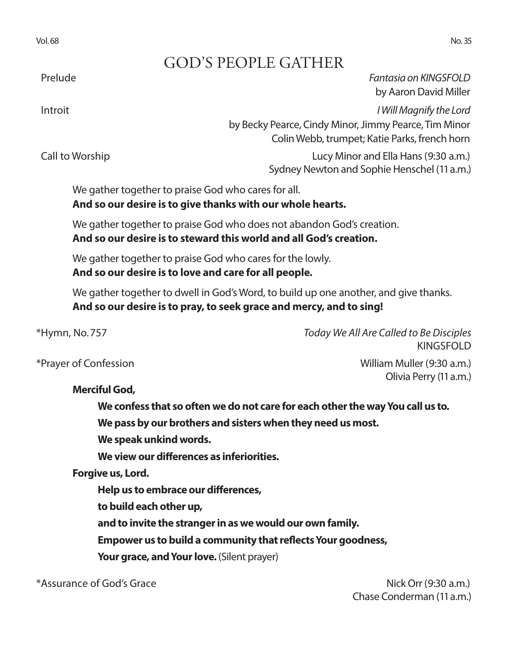# GOD'S PEOPLE GATHER

Prelude *Fantasia on KINGSFOLD* by Aaron David Miller

Introit *I Will Magnify the Lord* by Becky Pearce, Cindy Minor, Jimmy Pearce, Tim Minor Colin Webb, trumpet; Katie Parks, french horn

 Call to Worship Lucy Minor and Ella Hans (9:30 a.m.) Sydney Newton and Sophie Henschel (11 a.m.)

We gather together to praise God who cares for all. **And so our desire is to give thanks with our whole hearts.**

We gather together to praise God who does not abandon God's creation. **And so our desire is to steward this world and all God's creation.**

We gather together to praise God who cares for the lowly. **And so our desire is to love and care for all people.**

We gather together to dwell in God's Word, to build up one another, and give thanks. **And so our desire is to pray, to seek grace and mercy, and to sing!**

\*Hymn, No. 757 *Today We All Are Called to Be Disciples* KINGSFOLD

Olivia Perry (11 a.m.)

\*Prayer of Confession William Muller (9:30 a.m.)

**Merciful God,** 

**We confess that so often we do not care for each other the way You call us to.** 

**We pass by our brothers and sisters when they need us most.** 

**We speak unkind words.** 

**We view our diferences as inferiorities.** 

**Forgive us, Lord.** 

**Help us to embrace our diferences,** 

**to build each other up,** 

**and to invite the stranger in as we would our own family.**

**Empower us to build a community that refects Your goodness,** 

Your grace, and Your love. (Silent prayer)

\*Assurance of God's Grace  $\sim$  Nick Orr (9:30 a.m.)

Chase Conderman (11 a.m.)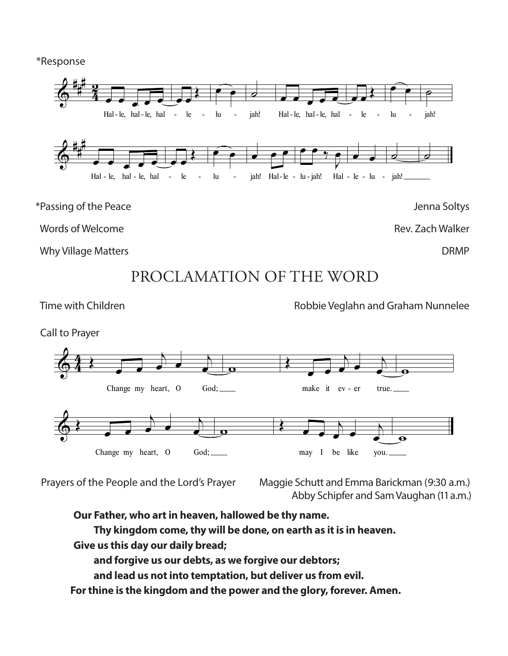\*Response



PROCLAMATION OF THE WORD

Time with Children **Robbie Veglahn and Graham Nunnelee** 



Prayers of the People and the Lord's Prayer Maggie Schutt and Emma Barickman (9:30 a.m.) Abby Schipfer and Sam Vaughan (11 a.m.)

**Our Father, who art in heaven, hallowed be thy name.**

**Thy kingdom come, thy will be done, on earth as it is in heaven.**

**Give us this day our daily bread;**

**and forgive us our debts, as we forgive our debtors;**

**and lead us not into temptation, but deliver us from evil.**

©  **For thine is the kingdom and the power and the glory, forever. Amen.**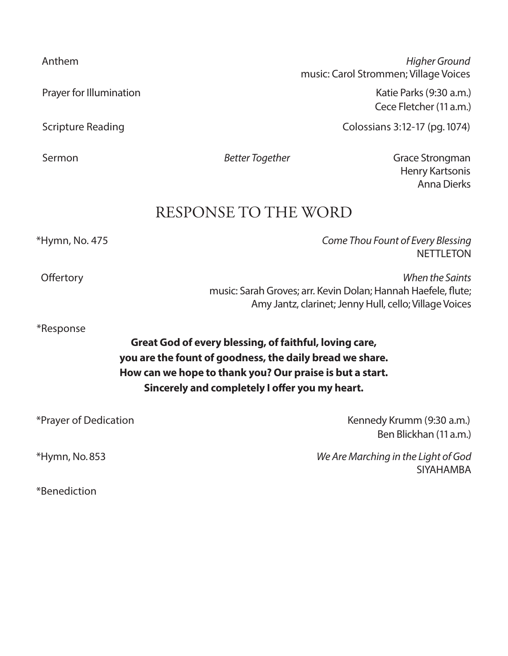Prayer for Illumination **Prayer for Illumination** Katie Parks (9:30 a.m.)

 Anthem *Higher Ground* music: Carol Strommen; Village Voices

Cece Fletcher (11 a.m.)

Scripture Reading **Colossians 3:12-17** (pg. 1074)

Sermon **Better Together** Grace Strongman *Better Together* Grace Strongman Henry Kartsonis Anna Dierks

**NETTI FTON** 

## RESPONSE TO THE WORD

\*Hymn, No. 475 *Come Thou Fount of Every Blessing*

Ofertory *When the Saints*

music: Sarah Groves; arr. Kevin Dolan; Hannah Haefele, fute; Amy Jantz, clarinet; Jenny Hull, cello; Village Voices

\*Response

**Great God of every blessing, of faithful, loving care, you are the fount of goodness, the daily bread we share. How can we hope to thank you? Our praise is but a start. Sincerely and completely I ofer you my heart.**

| *Prayer of Dedication | Kennedy Krumm (9:30 a.m.)                               |
|-----------------------|---------------------------------------------------------|
|                       | Ben Blickhan (11 a.m.)                                  |
| $*Hymn$ , No. 853     | We Are Marching in the Light of God<br><b>SIYAHAMBA</b> |
| *Benediction          |                                                         |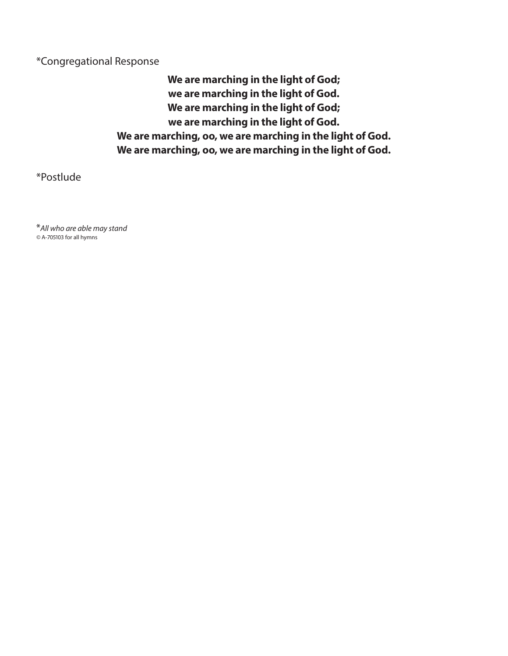### \*Congregational Response

**We are marching in the light of God; we are marching in the light of God. We are marching in the light of God; we are marching in the light of God. We are marching, oo, we are marching in the light of God. We are marching, oo, we are marching in the light of God.**

\*Postlude

\**All who are able may stand ©* A-705103 for all hymns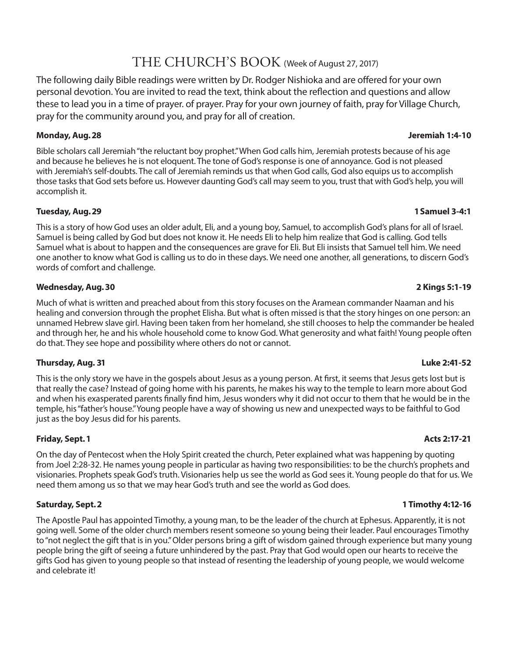## THE CHURCH'S BOOK (Week of August 27, 2017)

The following daily Bible readings were written by Dr. Rodger Nishioka and are ofered for your own personal devotion. You are invited to read the text, think about the refection and questions and allow these to lead you in a time of prayer. of prayer. Pray for your own journey of faith, pray for Village Church, pray for the community around you, and pray for all of creation.

#### **Monday, Aug. 28 Jeremiah 1:4-10**

Bible scholars call Jeremiah "the reluctant boy prophet." When God calls him, Jeremiah protests because of his age and because he believes he is not eloquent. The tone of God's response is one of annoyance. God is not pleased with Jeremiah's self-doubts. The call of Jeremiah reminds us that when God calls, God also equips us to accomplish those tasks that God sets before us. However daunting God's call may seem to you, trust that with God's help, you will accomplish it.

#### **Tuesday, Aug. 29 1 Samuel 3-4:1**

This is a story of how God uses an older adult, Eli, and a young boy, Samuel, to accomplish God's plans for all of Israel. Samuel is being called by God but does not know it. He needs Eli to help him realize that God is calling. God tells Samuel what is about to happen and the consequences are grave for Eli. But Eli insists that Samuel tell him. We need one another to know what God is calling us to do in these days. We need one another, all generations, to discern God's words of comfort and challenge.

#### **Wednesday, Aug. 30 2 Kings 5:1-19**

Much of what is written and preached about from this story focuses on the Aramean commander Naaman and his healing and conversion through the prophet Elisha. But what is often missed is that the story hinges on one person: an unnamed Hebrew slave girl. Having been taken from her homeland, she still chooses to help the commander be healed and through her, he and his whole household come to know God. What generosity and what faith! Young people often do that. They see hope and possibility where others do not or cannot.

#### **Thursday, Aug. 31 Luke 2:41-52**

This is the only story we have in the gospels about Jesus as a young person. At frst, it seems that Jesus gets lost but is that really the case? Instead of going home with his parents, he makes his way to the temple to learn more about God and when his exasperated parents fnally fnd him, Jesus wonders why it did not occur to them that he would be in the temple, his "father's house." Young people have a way of showing us new and unexpected ways to be faithful to God just as the boy Jesus did for his parents.

#### **Friday, Sept. 1 Acts 2:17-21**

On the day of Pentecost when the Holy Spirit created the church, Peter explained what was happening by quoting from Joel 2:28-32. He names young people in particular as having two responsibilities: to be the church's prophets and visionaries. Prophets speak God's truth. Visionaries help us see the world as God sees it. Young people do that for us. We need them among us so that we may hear God's truth and see the world as God does.

#### **Saturday, Sept. 2 1 Timothy 4:12-16**

The Apostle Paul has appointed Timothy, a young man, to be the leader of the church at Ephesus. Apparently, it is not going well. Some of the older church members resent someone so young being their leader. Paul encourages Timothy to "not neglect the gift that is in you." Older persons bring a gift of wisdom gained through experience but many young people bring the gift of seeing a future unhindered by the past. Pray that God would open our hearts to receive the gifts God has given to young people so that instead of resenting the leadership of young people, we would welcome and celebrate it!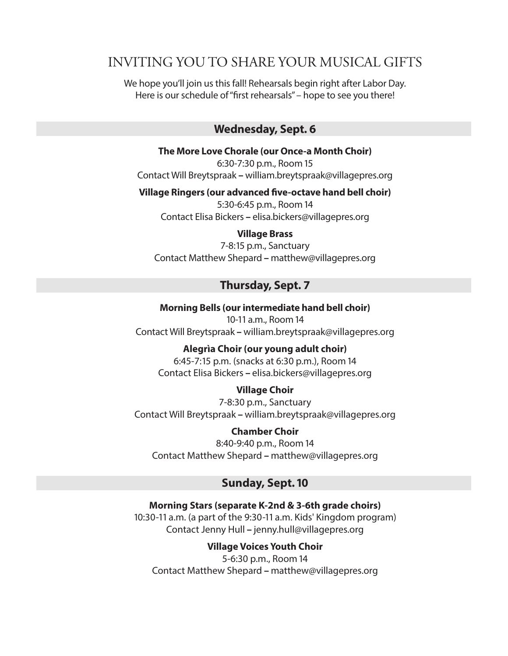## INVITING YOU TO SHARE YOUR MUSICAL GIFTS

We hope you'll join us this fall! Rehearsals begin right after Labor Day. Here is our schedule of "frst rehearsals" – hope to see you there!

### **Wednesday, Sept. 6**

**The More Love Chorale (our Once-a Month Choir)** 6:30-7:30 p.m., Room 15

Contact Will Breytspraak **–** william.breytspraak@villagepres.org

**Village Ringers (our advanced fve-octave hand bell choir)**

5:30-6:45 p.m., Room 14 Contact Elisa Bickers **–** elisa.bickers@villagepres.org

#### **Village Brass**

7-8:15 p.m., Sanctuary Contact Matthew Shepard **–** matthew@villagepres.org

### **Thursday, Sept. 7**

**Morning Bells (our intermediate hand bell choir)** 10-11 a.m., Room 14 Contact Will Breytspraak **–** william.breytspraak@villagepres.org

#### **Alegrìa Choir (our young adult choir)**

6:45-7:15 p.m. (snacks at 6:30 p.m.), Room 14 Contact Elisa Bickers **–** elisa.bickers@villagepres.org

#### **Village Choir**

7-8:30 p.m., Sanctuary Contact Will Breytspraak **–** william.breytspraak@villagepres.org

**Chamber Choir** 8:40-9:40 p.m., Room 14 Contact Matthew Shepard **–** matthew@villagepres.org

#### **Sunday, Sept. 10**

**Morning Stars (separate K-2nd & 3-6th grade choirs)** 10:30-11 a.m. (a part of the 9:30-11 a.m. Kids' Kingdom program) Contact Jenny Hull **–** jenny.hull@villagepres.org

**Village Voices Youth Choir**

5-6:30 p.m., Room 14 Contact Matthew Shepard **–** matthew@villagepres.org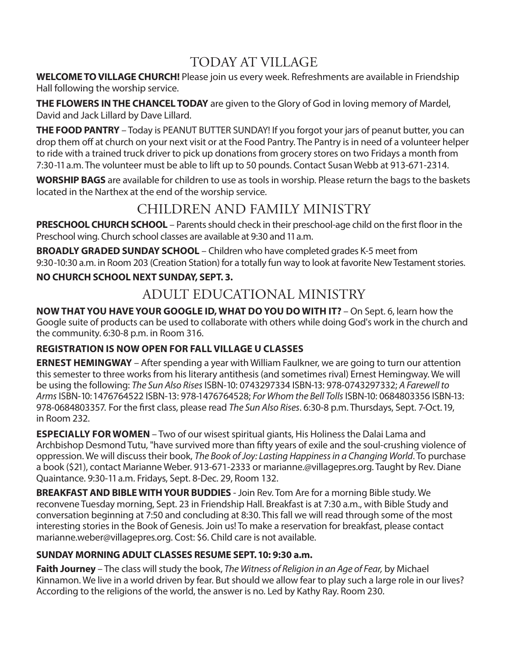# TODAY AT VILLAGE

**WELCOME TO VILLAGE CHURCH!** Please join us every week. Refreshments are available in Friendship Hall following the worship service.

**THE FLOWERS IN THE CHANCEL TODAY** are given to the Glory of God in loving memory of Mardel, David and Jack Lillard by Dave Lillard.

**THE FOOD PANTRY** – Today is PEANUT BUTTER SUNDAY! If you forgot your jars of peanut butter, you can drop them off at church on your next visit or at the Food Pantry. The Pantry is in need of a volunteer helper to ride with a trained truck driver to pick up donations from grocery stores on two Fridays a month from 7:30-11 a.m. The volunteer must be able to lift up to 50 pounds. Contact Susan Webb at 913-671-2314.

**WORSHIP BAGS** are available for children to use as tools in worship. Please return the bags to the baskets located in the Narthex at the end of the worship service.

# CHILDREN AND FAMILY MINISTRY

**PRESCHOOL CHURCH SCHOOL** – Parents should check in their preschool-age child on the first floor in the Preschool wing. Church school classes are available at 9:30 and 11 a.m.

**BROADLY GRADED SUNDAY SCHOOL** – Children who have completed grades K-5 meet from 9:30-10:30 a.m. in Room 203 (Creation Station) for a totally fun way to look at favorite New Testament stories.

## **NO CHURCH SCHOOL NEXT SUNDAY, SEPT. 3.**

## ADULT EDUCATIONAL MINISTRY

**NOW THAT YOU HAVE YOUR GOOGLE ID, WHAT DO YOU DO WITH IT?** – On Sept. 6, learn how the Google suite of products can be used to collaborate with others while doing God's work in the church and the community. 6:30-8 p.m. in Room 316.

### **REGISTRATION IS NOW OPEN FOR FALL VILLAGE U CLASSES**

**ERNEST HEMINGWAY** – After spending a year with William Faulkner, we are going to turn our attention this semester to three works from his literary antithesis (and sometimes rival) Ernest Hemingway. We will be using the following: *The Sun Also Rises* ISBN-10: 0743297334 ISBN-13: 978-0743297332; *A Farewell to Arms* ISBN-10: 1476764522 ISBN-13: 978-1476764528; *For Whom the Bell Tolls* ISBN-10: 0684803356 ISBN-13: 978-0684803357. For the frst class, please read *The Sun Also Rises*. 6:30-8 p.m. Thursdays, Sept. 7-Oct. 19, in Room 232.

**ESPECIALLY FOR WOMEN** – Two of our wisest spiritual giants, His Holiness the Dalai Lama and Archbishop Desmond Tutu, "have survived more than ffty years of exile and the soul-crushing violence of oppression. We will discuss their book, *The Book of Joy: Lasting Happiness in a Changing World*. To purchase a book (\$21), contact Marianne Weber. 913-671-2333 or marianne.@villagepres.org. Taught by Rev. Diane Quaintance. 9:30-11 a.m. Fridays, Sept. 8-Dec. 29, Room 132.

**BREAKFAST AND BIBLE WITH YOUR BUDDIES** - Join Rev. Tom Are for a morning Bible study. We reconvene Tuesday morning, Sept. 23 in Friendship Hall. Breakfast is at 7:30 a.m., with Bible Study and conversation beginning at 7:50 and concluding at 8:30. This fall we will read through some of the most interesting stories in the Book of Genesis. Join us! To make a reservation for breakfast, please contact marianne.weber@villagepres.org. Cost: \$6. Child care is not available.

### **SUNDAY MORNING ADULT CLASSES RESUME SEPT. 10: 9:30 a.m.**

**Faith Journey** – The class will study the book, *The Witness of Religion in an Age of Fear,* by Michael Kinnamon. We live in a world driven by fear. But should we allow fear to play such a large role in our lives? According to the religions of the world, the answer is no. Led by Kathy Ray. Room 230.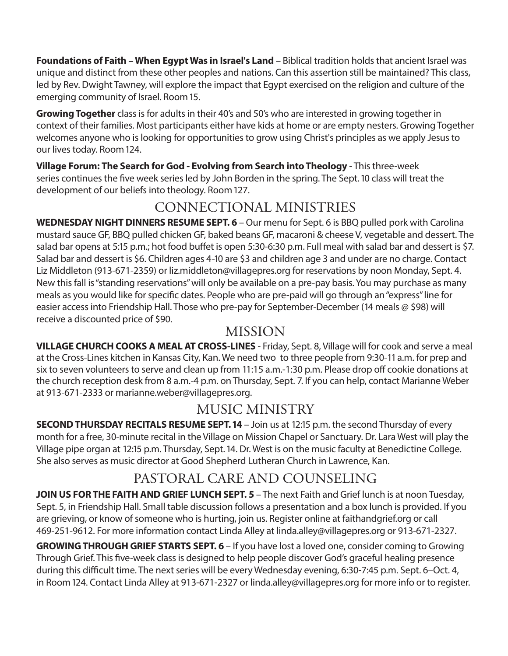**Foundations of Faith – When Egypt Was in Israel's Land** – Biblical tradition holds that ancient Israel was unique and distinct from these other peoples and nations. Can this assertion still be maintained? This class, led by Rev. Dwight Tawney, will explore the impact that Egypt exercised on the religion and culture of the emerging community of Israel. Room 15.

**Growing Together** class is for adults in their 40's and 50's who are interested in growing together in context of their families. Most participants either have kids at home or are empty nesters. Growing Together welcomes anyone who is looking for opportunities to grow using Christ's principles as we apply Jesus to our lives today. Room 124.

**Village Forum: The Search for God - Evolving from Search into Theology** - This three-week series continues the fve week series led by John Borden in the spring. The Sept. 10 class will treat the development of our beliefs into theology. Room 127.

# CONNECTIONAL MINISTRIES

**WEDNESDAY NIGHT DINNERS RESUME SEPT. 6** – Our menu for Sept. 6 is BBQ pulled pork with Carolina mustard sauce GF, BBQ pulled chicken GF, baked beans GF, macaroni & cheese V, vegetable and dessert. The salad bar opens at 5:15 p.m.; hot food bufet is open 5:30-6:30 p.m. Full meal with salad bar and dessert is \$7. Salad bar and dessert is \$6. Children ages 4-10 are \$3 and children age 3 and under are no charge. Contact Liz Middleton (913-671-2359) or liz.middleton@villagepres.org for reservations by noon Monday, Sept. 4. New this fall is "standing reservations" will only be available on a pre-pay basis. You may purchase as many meals as you would like for specifc dates. People who are pre-paid will go through an "express" line for easier access into Friendship Hall. Those who pre-pay for September-December (14 meals @ \$98) will receive a discounted price of \$90.

## MISSION

**VILLAGE CHURCH COOKS A MEAL AT CROSS-LINES** - Friday, Sept. 8, Village will for cook and serve a meal at the Cross-Lines kitchen in Kansas City, Kan. We need two to three people from 9:30-11 a.m. for prep and six to seven volunteers to serve and clean up from 11:15 a.m.-1:30 p.m. Please drop off cookie donations at the church reception desk from 8 a.m.-4 p.m. on Thursday, Sept. 7. If you can help, contact Marianne Weber at 913-671-2333 or marianne.weber@villagepres.org.

# MUSIC MINISTRY

**SECOND THURSDAY RECITALS RESUME SEPT. 14** – Join us at 12:15 p.m. the second Thursday of every month for a free, 30-minute recital in the Village on Mission Chapel or Sanctuary. Dr. Lara West will play the Village pipe organ at 12:15 p.m. Thursday, Sept. 14. Dr. West is on the music faculty at Benedictine College. She also serves as music director at Good Shepherd Lutheran Church in Lawrence, Kan.

# PASTORAL CARE AND COUNSELING

**JOIN US FOR THE FAITH AND GRIEF LUNCH SEPT. 5** – The next Faith and Grief lunch is at noon Tuesday, Sept. 5, in Friendship Hall. Small table discussion follows a presentation and a box lunch is provided. If you are grieving, or know of someone who is hurting, join us. Register online at faithandgrief.org or call 469-251-9612. For more information contact Linda Alley at linda.alley@villagepres.org or 913-671-2327.

**GROWING THROUGH GRIEF STARTS SEPT. 6** – If you have lost a loved one, consider coming to Growing Through Grief. This fve-week class is designed to help people discover God's graceful healing presence during this difficult time. The next series will be every Wednesday evening, 6:30-7:45 p.m. Sept. 6–Oct. 4, in Room 124. Contact Linda Alley at 913-671-2327 or linda.alley@villagepres.org for more info or to register.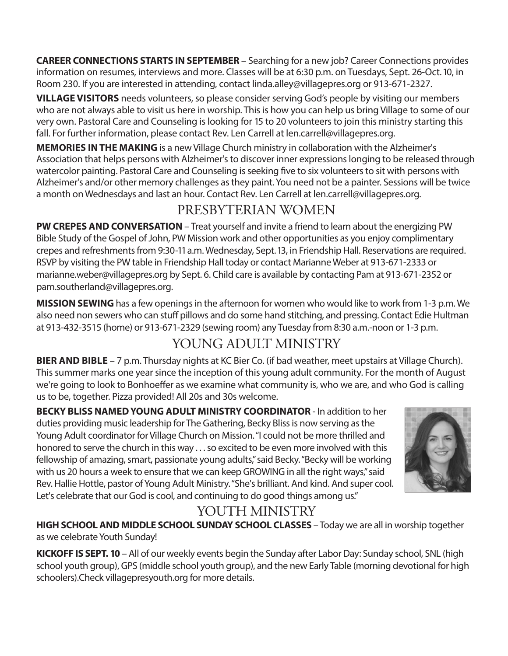**CAREER CONNECTIONS STARTS IN SEPTEMBER** – Searching for a new job? Career Connections provides information on resumes, interviews and more. Classes will be at 6:30 p.m. on Tuesdays, Sept. 26-Oct. 10, in Room 230. If you are interested in attending, contact linda.alley@villagepres.org or 913-671-2327.

**VILLAGE VISITORS** needs volunteers, so please consider serving God's people by visiting our members who are not always able to visit us here in worship. This is how you can help us bring Village to some of our very own. Pastoral Care and Counseling is looking for 15 to 20 volunteers to join this ministry starting this fall. For further information, please contact Rev. Len Carrell at len.carrell@villagepres.org.

**MEMORIES IN THE MAKING** is a new Village Church ministry in collaboration with the Alzheimer's Association that helps persons with Alzheimer's to discover inner expressions longing to be released through watercolor painting. Pastoral Care and Counseling is seeking fve to six volunteers to sit with persons with Alzheimer's and/or other memory challenges as they paint. You need not be a painter. Sessions will be twice a month on Wednesdays and last an hour. Contact Rev. Len Carrell at len.carrell@villagepres.org.

# PRESBYTERIAN WOMEN

**PW CREPES AND CONVERSATION** – Treat yourself and invite a friend to learn about the energizing PW Bible Study of the Gospel of John, PW Mission work and other opportunities as you enjoy complimentary crepes and refreshments from 9:30-11 a.m. Wednesday, Sept. 13, in Friendship Hall. Reservations are required. RSVP by visiting the PW table in Friendship Hall today or contact Marianne Weber at 913-671-2333 or marianne.weber@villagepres.org by Sept. 6. Child care is available by contacting Pam at 913-671-2352 or pam.southerland@villagepres.org.

**MISSION SEWING** has a few openings in the afternoon for women who would like to work from 1-3 p.m. We also need non sewers who can stuff pillows and do some hand stitching, and pressing. Contact Edie Hultman at 913-432-3515 (home) or 913-671-2329 (sewing room) any Tuesday from 8:30 a.m.-noon or 1-3 p.m.

# YOUNG ADULT MINISTRY

**BIER AND BIBLE** – 7 p.m. Thursday nights at KC Bier Co. (if bad weather, meet upstairs at Village Church). This summer marks one year since the inception of this young adult community. For the month of August we're going to look to Bonhoeffer as we examine what community is, who we are, and who God is calling us to be, together. Pizza provided! All 20s and 30s welcome.

**BECKY BLISS NAMED YOUNG ADULT MINISTRY COORDINATOR** - In addition to her duties providing music leadership for The Gathering, Becky Bliss is now serving as the Young Adult coordinator for Village Church on Mission. "I could not be more thrilled and honored to serve the church in this way . . . so excited to be even more involved with this fellowship of amazing, smart, passionate young adults," said Becky. "Becky will be working with us 20 hours a week to ensure that we can keep GROWING in all the right ways," said Rev. Hallie Hottle, pastor of Young Adult Ministry. "She's brilliant. And kind. And super cool. Let's celebrate that our God is cool, and continuing to do good things among us."



# YOUTH MINISTRY

**HIGH SCHOOL AND MIDDLE SCHOOL SUNDAY SCHOOL CLASSES** – Today we are all in worship together as we celebrate Youth Sunday!

**KICKOFF IS SEPT. 10** – All of our weekly events begin the Sunday after Labor Day: Sunday school, SNL (high school youth group), GPS (middle school youth group), and the new Early Table (morning devotional for high schoolers).Check villagepresyouth.org for more details.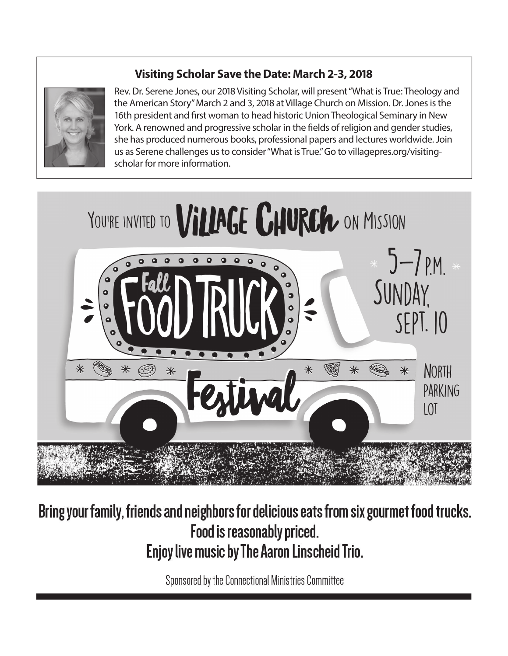## **Visiting Scholar Save the Date: March 2-3, 2018**



Rev. Dr. Serene Jones, our 2018 Visiting Scholar, will present "What is True: Theology and the American Story" March 2 and 3, 2018 at Village Church on Mission. Dr. Jones is the 16th president and frst woman to head historic Union Theological Seminary in New York. A renowned and progressive scholar in the felds of religion and gender studies, she has produced numerous books, professional papers and lectures worldwide. Join us as Serene challenges us to consider "What is True." Go to villagepres.org/visitingscholar for more information.



# Bring your family, friends and neighbors for delicious eats from six gourmet food trucks. Food is reasonably priced. Enjoy live music by The Aaron Linscheid Trio.

Sponsored by the Connectional Ministries Committee